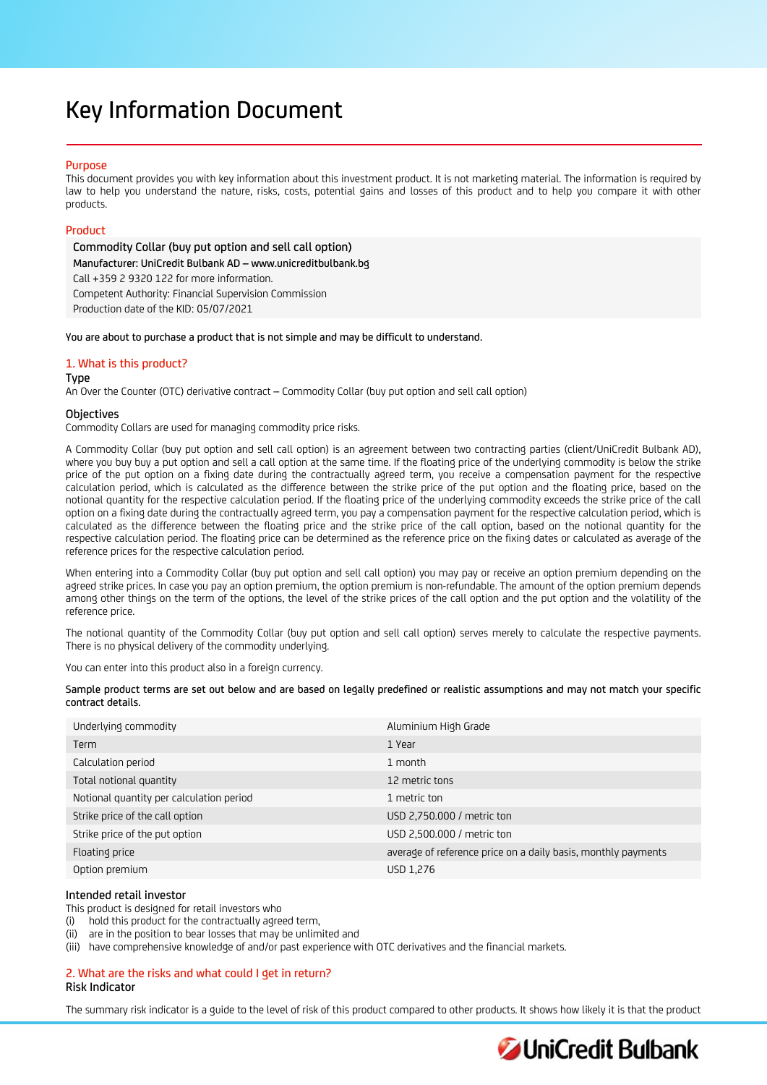# Key Information Document

# **Purpose**

This document provides you with key information about this investment product. It is not marketing material. The information is required by law to help you understand the nature, risks, costs, potential gains and losses of this product and to help you compare it with other products.

# Product

Commodity Collar (buy put option and sell call option) Manufacturer: UniCredit Bulbank AD – www.unicreditbulbank.bg Call +359 2 9320 122 for more information. Competent Authority: Financial Supervision Commission Production date of the KID: 05/07/2021

You are about to purchase a product that is not simple and may be difficult to understand.

# 1. What is this product?

#### Type

An Over the Counter (OTC) derivative contract – Commodity Collar (buy put option and sell call option)

# **Objectives**

Commodity Collars are used for managing commodity price risks.

A Commodity Collar (buy put option and sell call option) is an agreement between two contracting parties (client/UniCredit Bulbank AD), where you buy buy a put option and sell a call option at the same time. If the floating price of the underlying commodity is below the strike price of the put option on a fixing date during the contractually agreed term, you receive a compensation payment for the respective calculation period, which is calculated as the difference between the strike price of the put option and the floating price, based on the notional quantity for the respective calculation period. If the floating price of the underlying commodity exceeds the strike price of the call option on a fixing date during the contractually agreed term, you pay a compensation payment for the respective calculation period, which is calculated as the difference between the floating price and the strike price of the call option, based on the notional quantity for the respective calculation period. The floating price can be determined as the reference price on the fixing dates or calculated as average of the reference prices for the respective calculation period.

When entering into a Commodity Collar (buy put option and sell call option) you may pay or receive an option premium depending on the agreed strike prices. In case you pay an option premium, the option premium is non-refundable. The amount of the option premium depends among other things on the term of the options, the level of the strike prices of the call option and the put option and the volatility of the reference price.

The notional quantity of the Commodity Collar (buy put option and sell call option) serves merely to calculate the respective payments. There is no physical delivery of the commodity underlying.

You can enter into this product also in a foreign currency.

| Sample product terms are set out below and are based on legally predefined or realistic assumptions and may not match your specific |  |  |  |
|-------------------------------------------------------------------------------------------------------------------------------------|--|--|--|
| contract details.                                                                                                                   |  |  |  |

| Underlying commodity                     | Aluminium High Grade                                          |
|------------------------------------------|---------------------------------------------------------------|
| Term                                     | 1 Year                                                        |
| Calculation period                       | 1 month                                                       |
| Total notional quantity                  | 12 metric tons                                                |
| Notional quantity per calculation period | 1 metric ton                                                  |
| Strike price of the call option          | USD 2,750.000 / metric ton                                    |
| Strike price of the put option           | USD 2,500.000 / metric ton                                    |
| Floating price                           | average of reference price on a daily basis, monthly payments |
| Option premium                           | USD 1,276                                                     |

# Intended retail investor

This product is designed for retail investors who

(i) hold this product for the contractually agreed term,

(ii) are in the position to bear losses that may be unlimited and

(iii) have comprehensive knowledge of and/or past experience with OTC derivatives and the financial markets.

# 2. What are the risks and what could I get in return? Risk Indicator

The summary risk indicator is a guide to the level of risk of this product compared to other products. It shows how likely it is that the product

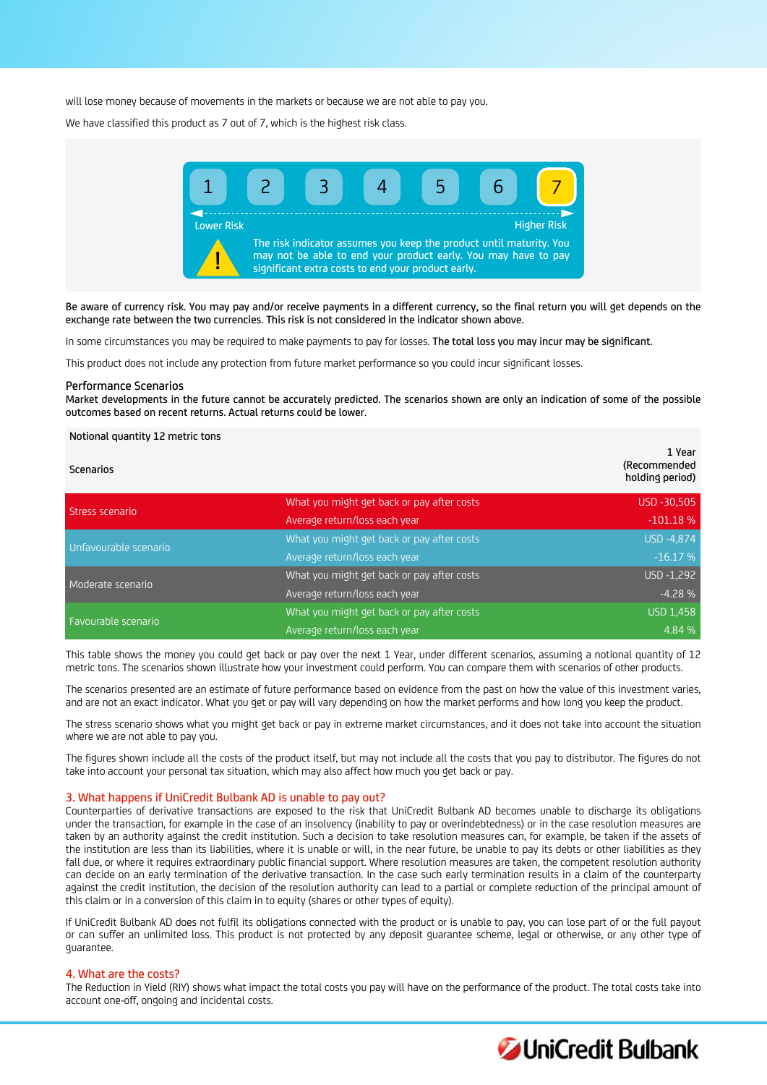will lose money because of movements in the markets or because we are not able to pay you.

We have classified this product as 7 out of 7, which is the highest risk class.



Be aware of currency risk. You may pay and/or receive payments in a different currency, so the final return you will get depends on the exchange rate between the two currencies. This risk is not considered in the indicator shown above.

In some circumstances you may be required to make payments to pay for losses. The total loss you may incur may be significant.

This product does not include any protection from future market performance so you could incur significant losses.

#### Performance Scenarios

Notional quantity 12 metric tons

Market developments in the future cannot be accurately predicted. The scenarios shown are only an indication of some of the possible outcomes based on recent returns. Actual returns could be lower.

| <b>Scenarios</b>      |                                            | 1 Year<br>(Recommended<br>holding period) |
|-----------------------|--------------------------------------------|-------------------------------------------|
| Stress scenario       | What you might get back or pay after costs | USD -30,505                               |
|                       | Average return/loss each year              | $-101.18%$                                |
| Unfavourable scenario | What you might get back or pay after costs | USD -4,874                                |
|                       | Average return/loss each year              | $-16.17%$                                 |
| Moderate scenario     | What you might get back or pay after costs | USD -1,292                                |
|                       | Average return/loss each year              | $-4.28%$                                  |
| Favourable scenario   | What you might get back or pay after costs | <b>USD 1,458</b>                          |
|                       | Average return/loss each year              | 4.84 %                                    |

This table shows the money you could get back or pay over the next 1 Year, under different scenarios, assuming a notional quantity of 12 metric tons. The scenarios shown illustrate how your investment could perform. You can compare them with scenarios of other products.

The scenarios presented are an estimate of future performance based on evidence from the past on how the value of this investment varies, and are not an exact indicator. What you get or pay will vary depending on how the market performs and how long you keep the product.

The stress scenario shows what you might get back or pay in extreme market circumstances, and it does not take into account the situation where we are not able to pay you.

The figures shown include all the costs of the product itself, but may not include all the costs that you pay to distributor. The figures do not take into account your personal tax situation, which may also affect how much you get back or pay.

#### 3. What happens if UniCredit Bulbank AD is unable to pay out?

Counterparties of derivative transactions are exposed to the risk that UniCredit Bulbank AD becomes unable to discharge its obligations under the transaction, for example in the case of an insolvency (inability to pay or overindebtedness) or in the case resolution measures are taken by an authority against the credit institution. Such a decision to take resolution measures can, for example, be taken if the assets of the institution are less than its liabilities, where it is unable or will, in the near future, be unable to pay its debts or other liabilities as they fall due, or where it requires extraordinary public financial support. Where resolution measures are taken, the competent resolution authority can decide on an early termination of the derivative transaction. In the case such early termination results in a claim of the counterparty against the credit institution, the decision of the resolution authority can lead to a partial or complete reduction of the principal amount of this claim or in a conversion of this claim in to equity (shares or other types of equity).

If UniCredit Bulbank AD does not fulfil its obligations connected with the product or is unable to pay, you can lose part of or the full payout or can suffer an unlimited loss. This product is not protected by any deposit guarantee scheme, legal or otherwise, or any other type of guarantee.

#### 4. What are the costs?

The Reduction in Yield (RIY) shows what impact the total costs you pay will have on the performance of the product. The total costs take into account one-off, ongoing and incidental costs.